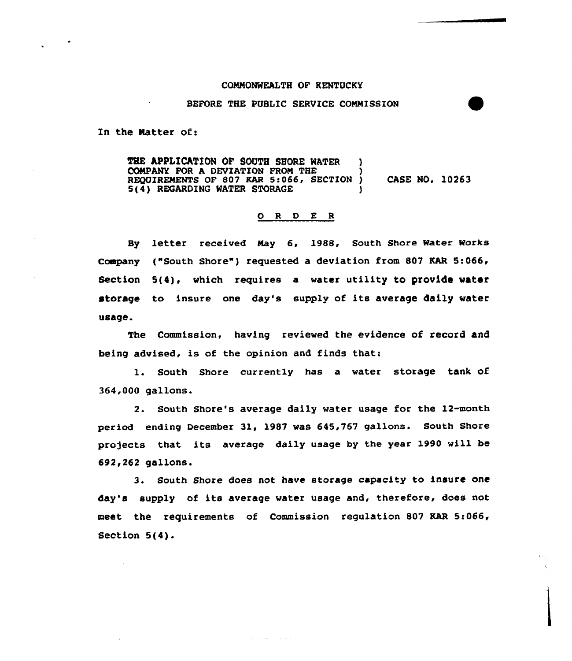## COMMONMEALTH OF KENTUCKY

## BEFORE THE PUBLIC SERVICE COMMISSION

In the Natter of:

THE APPLICATION OF SOUTH SHORE WATER ) COMPANY FOR A DEVIATION FROM THE REQUIREMENTS OF 807 KAR 5:066, SECTION ) CASE NO. 10263  $5(4)$  REGARDING WATER STORAGE

## 0 <sup>R</sup> <sup>D</sup> E <sup>R</sup>

By letter received May &, 1988, South Shore Water Works Company ("South Shore") requested a deviation from 807 KAR 5:066, Section 5(4). which requires a water utility to provide water storage to insure one day's supply of its average daily water usage.

The Commission, having reviewed the evidence of record and being advised, is of the opinion and finds that:

1. South Shore currently has <sup>a</sup> water storage tank of 364,000 gallons.

2. South Shore's average daily water usage for the 12-month period ending December 31, 1987 was 645,767 gallons. South Shore projects that its average daily usage by the year 1990 will be 692,262 gallons.

3. South Shore does not have storage capacity to insure one day's supply of its average water usage and, therefore, does not meet the requirements of Commission regulation 807 KAR Si066, Section 5(4).

المتعاملات القائلات والم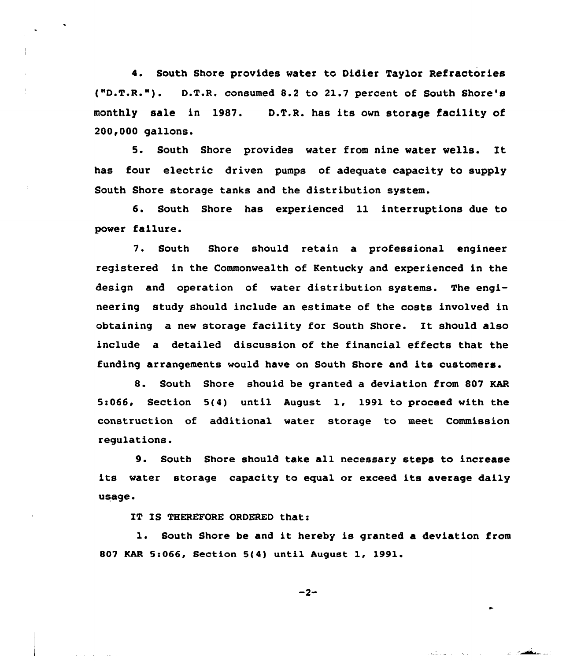4. South Shore provides water to Didier Taylor Refractories ("D.T.R."). D.T.R. consumed 8.2 to 21.7 percent of South Shore's monthly sale in 1987. D.T.R. has its own storage facility of 200,000 gallons.

5. South Shore provides water from nine water wells. It has four electric driven pumps of adequate capacity to supply South Shore storage tanks and the distribution system.

6. South Shore has experienced ll interruptions due to power failure.

7. South Shore should retain a professional engineer registered in the Commonwealth of Kentucky and experienced in the design and operation of water distribution systems. The engineering study should include an estimate of the costs involved in obtaining <sup>a</sup> new storage facility for South Shore. It should also include a detailed discussion of the financial effects that the funding arrangements would have on South Shore and its customers.

8. South Shore should be granted a deviation from 807 KAR 5:066, Section 5(4} until August 1, 1991 to proceed with the construction of additional water storage to meet Commission regulations.

9. South Shore should take all necessary steps to increase its water storage capacity to equal or exceed its average daily usage.

IT IS THEREFORE ORDERED that:

1. South Shore be and it hereby is granted a deviation from 807 EAR 5:066, Section 5(4} until August 1, 1991.

 $-2-$ 

mine the second that the season